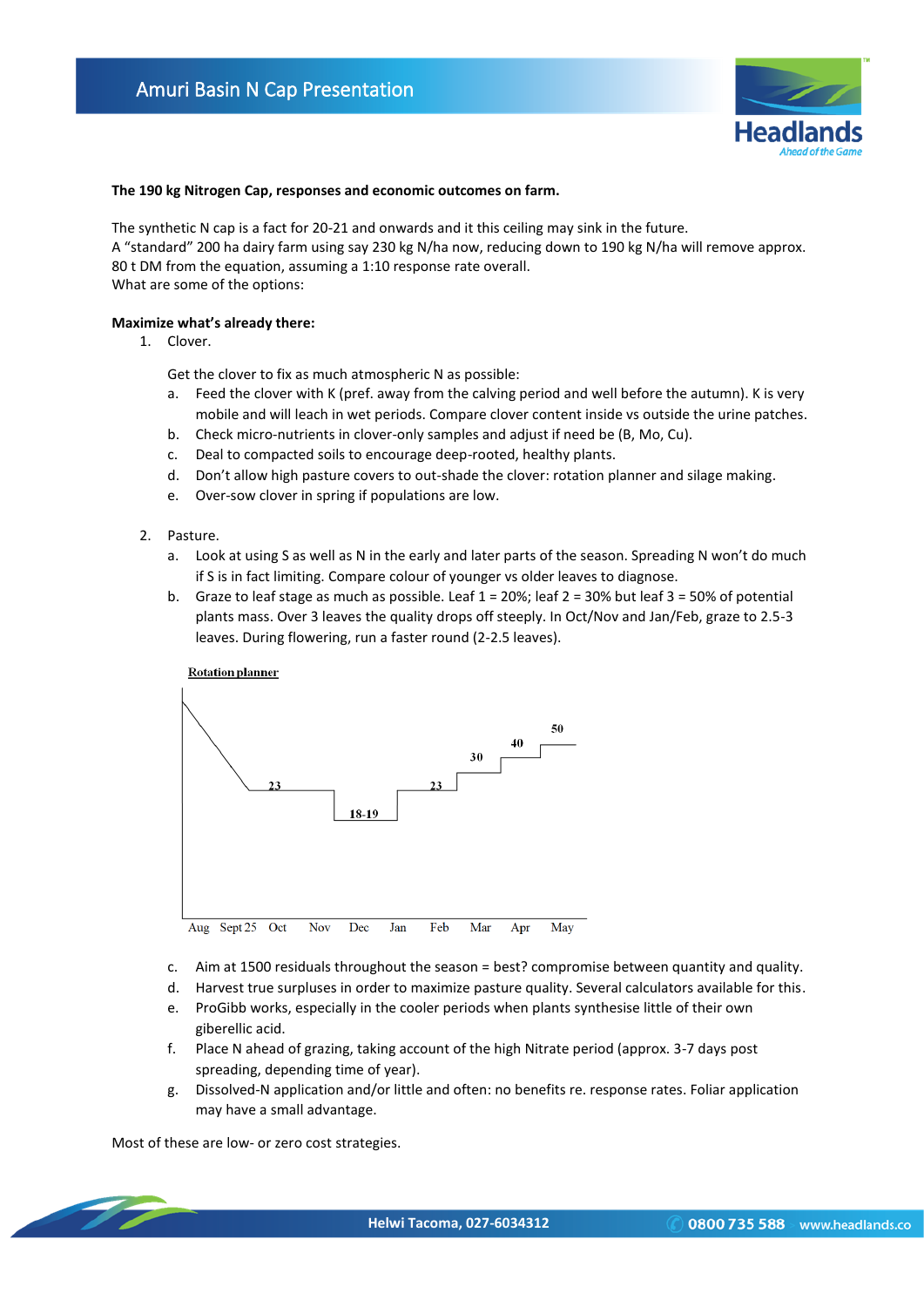

#### **The 190 kg Nitrogen Cap, responses and economic outcomes on farm.**

The synthetic N cap is a fact for 20-21 and onwards and it this ceiling may sink in the future. A "standard" 200 ha dairy farm using say 230 kg N/ha now, reducing down to 190 kg N/ha will remove approx. 80 t DM from the equation, assuming a 1:10 response rate overall. What are some of the options:

### **Maximize what's already there:**

1. Clover.

Get the clover to fix as much atmospheric N as possible:

- a. Feed the clover with K (pref. away from the calving period and well before the autumn). K is very mobile and will leach in wet periods. Compare clover content inside vs outside the urine patches.
- b. Check micro-nutrients in clover-only samples and adjust if need be (B, Mo, Cu).
- c. Deal to compacted soils to encourage deep-rooted, healthy plants.
- d. Don't allow high pasture covers to out-shade the clover: rotation planner and silage making.
- e. Over-sow clover in spring if populations are low.
- 2. Pasture.
	- a. Look at using S as well as N in the early and later parts of the season. Spreading N won't do much if S is in fact limiting. Compare colour of younger vs older leaves to diagnose.
	- b. Graze to leaf stage as much as possible. Leaf 1 = 20%; leaf 2 = 30% but leaf 3 = 50% of potential plants mass. Over 3 leaves the quality drops off steeply. In Oct/Nov and Jan/Feb, graze to 2.5-3 leaves. During flowering, run a faster round (2-2.5 leaves).



- c. Aim at 1500 residuals throughout the season = best? compromise between quantity and quality.
- d. Harvest true surpluses in order to maximize pasture quality. Several calculators available for this.
- e. ProGibb works, especially in the cooler periods when plants synthesise little of their own giberellic acid.
- f. Place N ahead of grazing, taking account of the high Nitrate period (approx. 3-7 days post spreading, depending time of year).
- g. Dissolved-N application and/or little and often: no benefits re. response rates. Foliar application may have a small advantage.

Most of these are low- or zero cost strategies.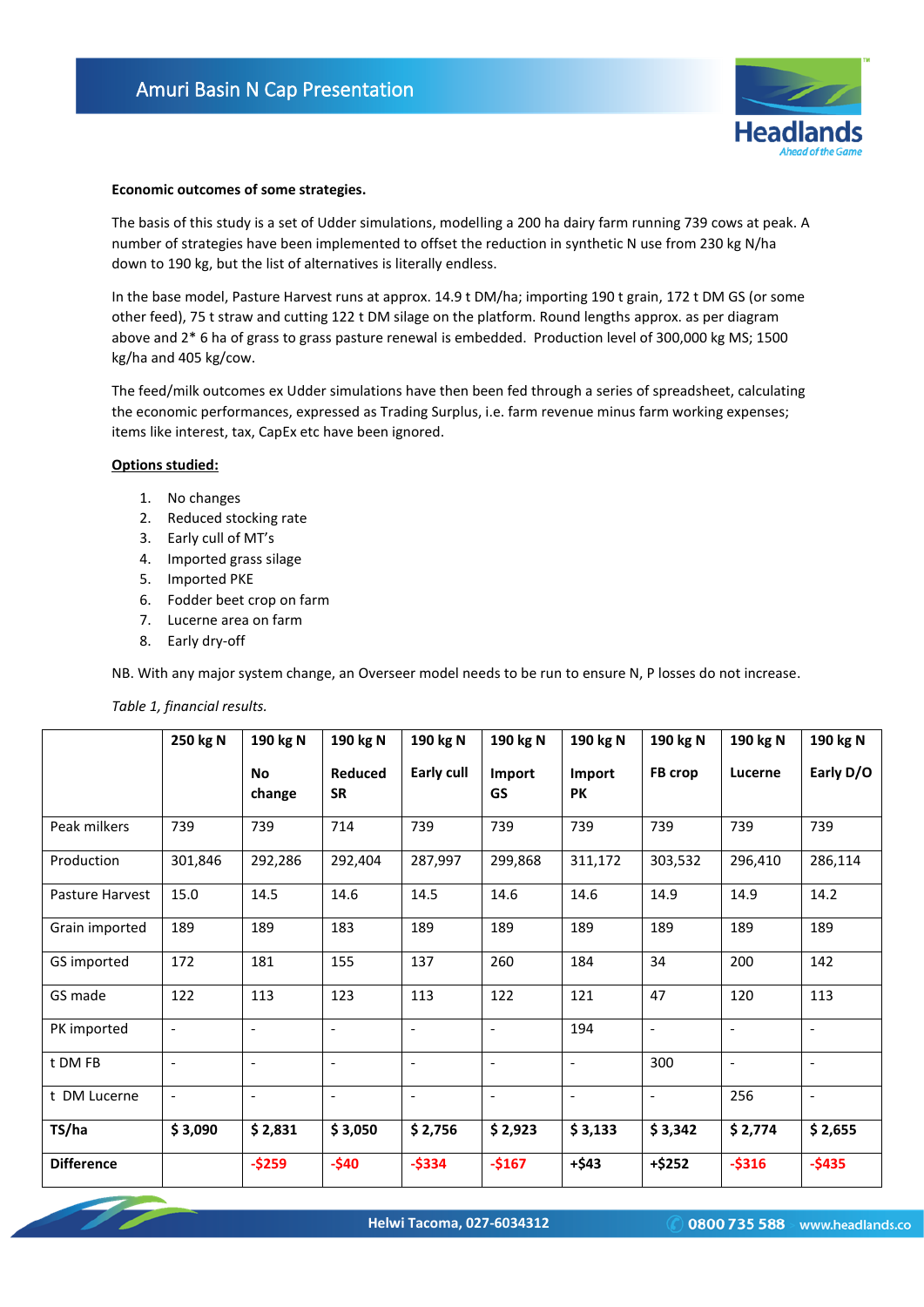

### **Economic outcomes of some strategies.**

The basis of this study is a set of Udder simulations, modelling a 200 ha dairy farm running 739 cows at peak. A number of strategies have been implemented to offset the reduction in synthetic N use from 230 kg N/ha down to 190 kg, but the list of alternatives is literally endless.

In the base model, Pasture Harvest runs at approx. 14.9 t DM/ha; importing 190 t grain, 172 t DM GS (or some other feed), 75 t straw and cutting 122 t DM silage on the platform. Round lengths approx. as per diagram above and 2\* 6 ha of grass to grass pasture renewal is embedded. Production level of 300,000 kg MS; 1500 kg/ha and 405 kg/cow.

The feed/milk outcomes ex Udder simulations have then been fed through a series of spreadsheet, calculating the economic performances, expressed as Trading Surplus, i.e. farm revenue minus farm working expenses; items like interest, tax, CapEx etc have been ignored.

### **Options studied:**

- 1. No changes
- 2. Reduced stocking rate
- 3. Early cull of MT's
- 4. Imported grass silage
- 5. Imported PKE
- 6. Fodder beet crop on farm
- 7. Lucerne area on farm
- 8. Early dry-off

NB. With any major system change, an Overseer model needs to be run to ensure N, P losses do not increase.

### *Table 1, financial results.*

|                   | 250 kg N                 | 190 kg N                 | 190 kg N                 | 190 kg N                 | 190 kg N                 | 190 kg N                 | 190 kg N                 | 190 kg N                 | 190 kg N                 |
|-------------------|--------------------------|--------------------------|--------------------------|--------------------------|--------------------------|--------------------------|--------------------------|--------------------------|--------------------------|
|                   |                          | <b>No</b><br>change      | Reduced<br><b>SR</b>     | Early cull               | Import<br>GS             | Import<br>PK             | FB crop                  | Lucerne                  | Early D/O                |
| Peak milkers      | 739                      | 739                      | 714                      | 739                      | 739                      | 739                      | 739                      | 739                      | 739                      |
| Production        | 301,846                  | 292,286                  | 292,404                  | 287,997                  | 299,868                  | 311,172                  | 303,532                  | 296,410                  | 286,114                  |
| Pasture Harvest   | 15.0                     | 14.5                     | 14.6                     | 14.5                     | 14.6                     | 14.6                     | 14.9                     | 14.9                     | 14.2                     |
| Grain imported    | 189                      | 189                      | 183                      | 189                      | 189                      | 189                      | 189                      | 189                      | 189                      |
| GS imported       | 172                      | 181                      | 155                      | 137                      | 260                      | 184                      | 34                       | 200                      | 142                      |
| GS made           | 122                      | 113                      | 123                      | 113                      | 122                      | 121                      | 47                       | 120                      | 113                      |
| PK imported       | $\overline{\phantom{a}}$ | $\overline{\phantom{a}}$ | $\overline{\phantom{a}}$ | $\overline{\phantom{0}}$ |                          | 194                      | $\overline{\phantom{a}}$ | $\overline{\phantom{a}}$ | $\overline{\phantom{a}}$ |
| t DM FB           | $\overline{\phantom{a}}$ | $\overline{\phantom{a}}$ | $\overline{\phantom{a}}$ | $\overline{\phantom{a}}$ | $\overline{\phantom{a}}$ | $\overline{\phantom{a}}$ | 300                      | $\overline{\phantom{a}}$ | $\overline{\phantom{a}}$ |
| t DM Lucerne      | $\overline{\phantom{a}}$ | $\overline{\phantom{a}}$ | $\overline{\phantom{a}}$ | $\overline{\phantom{a}}$ | $\overline{\phantom{a}}$ | $\overline{\phantom{a}}$ | $\overline{\phantom{a}}$ | 256                      | $\overline{\phantom{a}}$ |
| TS/ha             | \$3,090                  | \$2,831                  | \$3,050                  | \$2,756                  | \$2,923                  | \$3,133                  | \$3,342                  | \$2,774                  | \$2,655                  |
| <b>Difference</b> |                          | $-$259$                  | $-$40$                   | $-$334$                  | $-$167$                  | $+ $43$                  | $+ $252$                 | $-$316$                  | $-$435$                  |

**Helwi Tacoma, 027-6034312**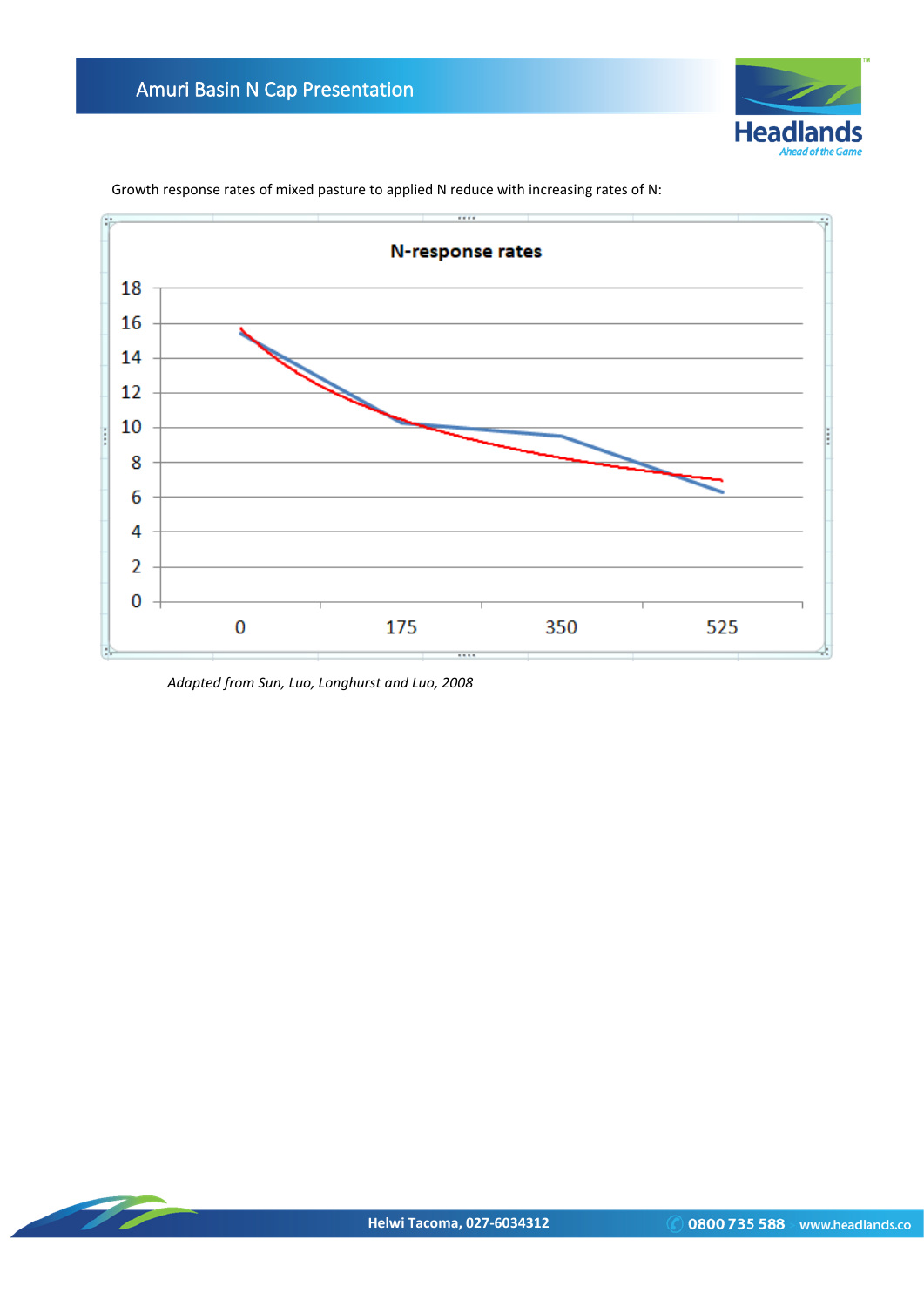



Growth response rates of mixed pasture to applied N reduce with increasing rates of N:

*Adapted from Sun, Luo, Longhurst and Luo, 2008*

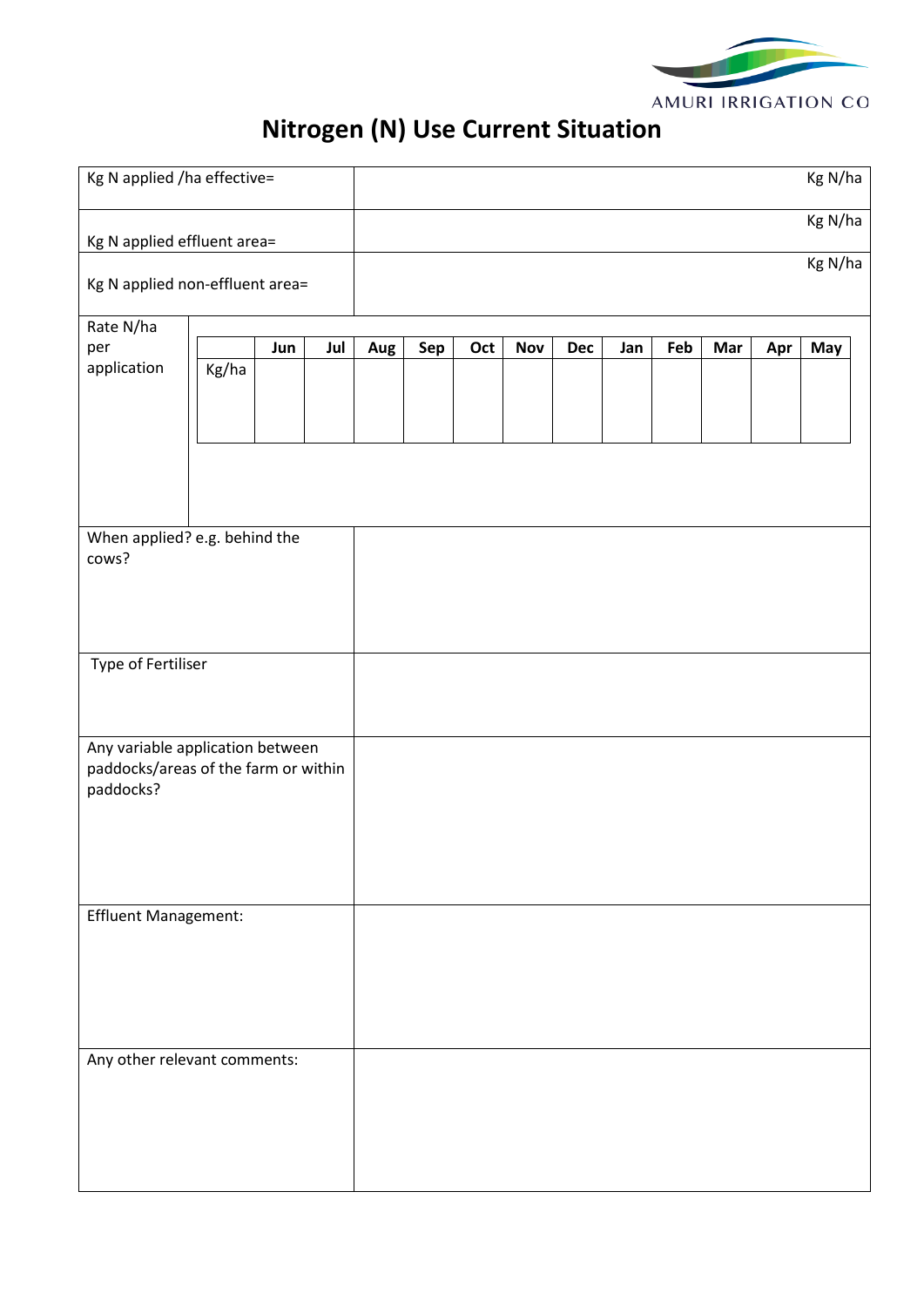

# **Nitrogen (N) Use Current Situation**

| Kg N applied /ha effective=                                                           |       |     | Kg N/ha |     |     |     |     |     |     |     |     |         |         |
|---------------------------------------------------------------------------------------|-------|-----|---------|-----|-----|-----|-----|-----|-----|-----|-----|---------|---------|
| Kg N applied effluent area=                                                           |       |     |         |     |     |     |     |     |     |     |     | Kg N/ha |         |
| Kg N applied non-effluent area=                                                       |       |     |         |     |     |     |     |     |     |     |     |         | Kg N/ha |
| Rate N/ha<br>per<br>application                                                       | Kg/ha | Jun | Jul     | Aug | Sep | Oct | Nov | Dec | Jan | Feb | Mar | Apr     | May     |
| When applied? e.g. behind the<br>cows?                                                |       |     |         |     |     |     |     |     |     |     |     |         |         |
| <b>Type of Fertiliser</b>                                                             |       |     |         |     |     |     |     |     |     |     |     |         |         |
| Any variable application between<br>paddocks/areas of the farm or within<br>paddocks? |       |     |         |     |     |     |     |     |     |     |     |         |         |
| Effluent Management:                                                                  |       |     |         |     |     |     |     |     |     |     |     |         |         |
| Any other relevant comments:                                                          |       |     |         |     |     |     |     |     |     |     |     |         |         |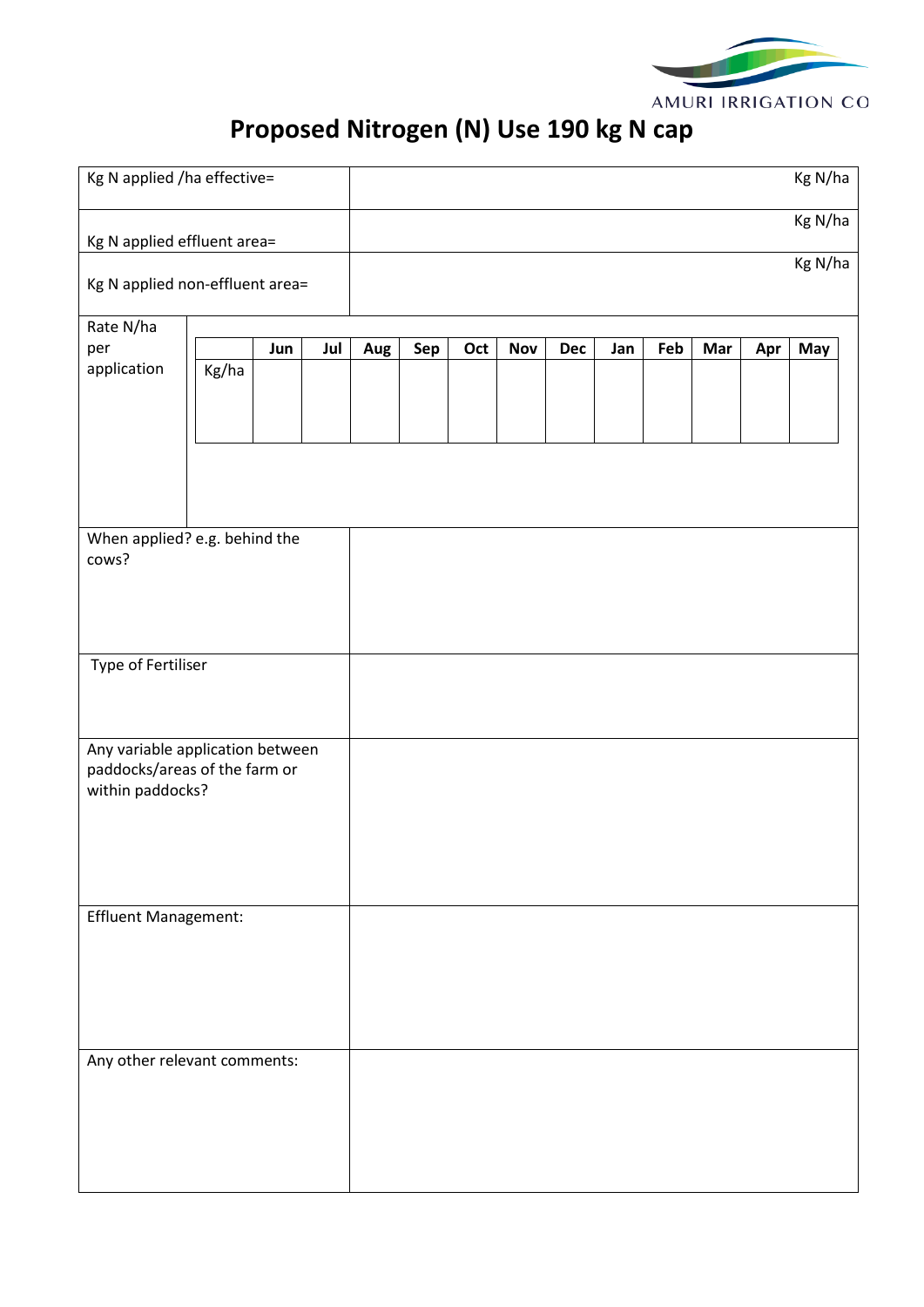

# **Proposed Nitrogen (N) Use 190 kg N cap**

| Kg N applied /ha effective=                       |       |     |     |     |     |     |            |     |     |     |     | Kg N/ha |         |
|---------------------------------------------------|-------|-----|-----|-----|-----|-----|------------|-----|-----|-----|-----|---------|---------|
| Kg N applied effluent area=                       |       |     |     |     |     |     |            |     |     |     |     | Kg N/ha |         |
| Kg N applied non-effluent area=                   |       |     |     |     |     |     |            |     |     |     |     |         | Kg N/ha |
| Rate N/ha                                         |       |     |     |     |     |     |            |     |     |     |     |         |         |
| per                                               |       | Jun | Jul | Aug | Sep | Oct | <b>Nov</b> | Dec | Jan | Feb | Mar | Apr     | May     |
| application                                       | Kg/ha |     |     |     |     |     |            |     |     |     |     |         |         |
|                                                   |       |     |     |     |     |     |            |     |     |     |     |         |         |
|                                                   |       |     |     |     |     |     |            |     |     |     |     |         |         |
|                                                   |       |     |     |     |     |     |            |     |     |     |     |         |         |
|                                                   |       |     |     |     |     |     |            |     |     |     |     |         |         |
|                                                   |       |     |     |     |     |     |            |     |     |     |     |         |         |
| When applied? e.g. behind the                     |       |     |     |     |     |     |            |     |     |     |     |         |         |
| cows?                                             |       |     |     |     |     |     |            |     |     |     |     |         |         |
|                                                   |       |     |     |     |     |     |            |     |     |     |     |         |         |
|                                                   |       |     |     |     |     |     |            |     |     |     |     |         |         |
|                                                   |       |     |     |     |     |     |            |     |     |     |     |         |         |
| Type of Fertiliser                                |       |     |     |     |     |     |            |     |     |     |     |         |         |
|                                                   |       |     |     |     |     |     |            |     |     |     |     |         |         |
|                                                   |       |     |     |     |     |     |            |     |     |     |     |         |         |
| Any variable application between                  |       |     |     |     |     |     |            |     |     |     |     |         |         |
| paddocks/areas of the farm or<br>within paddocks? |       |     |     |     |     |     |            |     |     |     |     |         |         |
|                                                   |       |     |     |     |     |     |            |     |     |     |     |         |         |
|                                                   |       |     |     |     |     |     |            |     |     |     |     |         |         |
|                                                   |       |     |     |     |     |     |            |     |     |     |     |         |         |
|                                                   |       |     |     |     |     |     |            |     |     |     |     |         |         |
| Effluent Management:                              |       |     |     |     |     |     |            |     |     |     |     |         |         |
|                                                   |       |     |     |     |     |     |            |     |     |     |     |         |         |
|                                                   |       |     |     |     |     |     |            |     |     |     |     |         |         |
|                                                   |       |     |     |     |     |     |            |     |     |     |     |         |         |
|                                                   |       |     |     |     |     |     |            |     |     |     |     |         |         |
|                                                   |       |     |     |     |     |     |            |     |     |     |     |         |         |
| Any other relevant comments:                      |       |     |     |     |     |     |            |     |     |     |     |         |         |
|                                                   |       |     |     |     |     |     |            |     |     |     |     |         |         |
|                                                   |       |     |     |     |     |     |            |     |     |     |     |         |         |
|                                                   |       |     |     |     |     |     |            |     |     |     |     |         |         |
|                                                   |       |     |     |     |     |     |            |     |     |     |     |         |         |